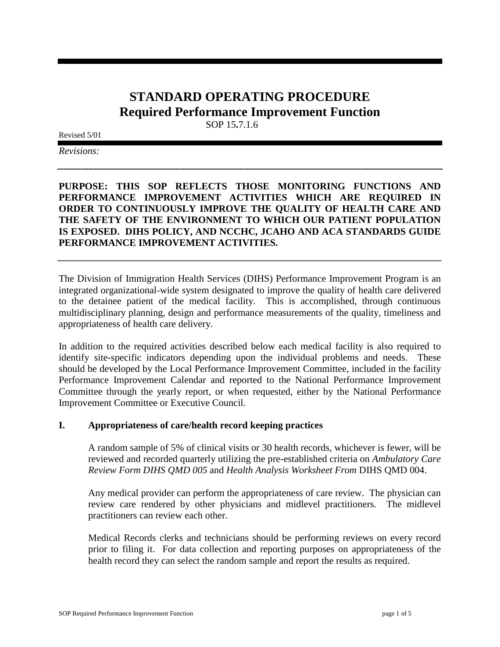# **STANDARD OPERATING PROCEDURE Required Performance Improvement Function**

SOP 15**.**7.1.6

Revised 5/01

*Revisions:*

**PURPOSE: THIS SOP REFLECTS THOSE MONITORING FUNCTIONS AND PERFORMANCE IMPROVEMENT ACTIVITIES WHICH ARE REQUIRED IN ORDER TO CONTINUOUSLY IMPROVE THE QUALITY OF HEALTH CARE AND THE SAFETY OF THE ENVIRONMENT TO WHICH OUR PATIENT POPULATION IS EXPOSED. DIHS POLICY, AND NCCHC, JCAHO AND ACA STANDARDS GUIDE PERFORMANCE IMPROVEMENT ACTIVITIES.** 

The Division of Immigration Health Services (DIHS) Performance Improvement Program is an integrated organizational-wide system designated to improve the quality of health care delivered to the detainee patient of the medical facility. This is accomplished, through continuous multidisciplinary planning, design and performance measurements of the quality, timeliness and appropriateness of health care delivery.

In addition to the required activities described below each medical facility is also required to identify site-specific indicators depending upon the individual problems and needs. These should be developed by the Local Performance Improvement Committee, included in the facility Performance Improvement Calendar and reported to the National Performance Improvement Committee through the yearly report, or when requested, either by the National Performance Improvement Committee or Executive Council.

#### **I. Appropriateness of care/health record keeping practices**

A random sample of 5% of clinical visits or 30 health records, whichever is fewer, will be reviewed and recorded quarterly utilizing the pre-established criteria on *Ambulatory Care Review Form DIHS QMD 005* and *Health Analysis Worksheet From* DIHS QMD 004.

Any medical provider can perform the appropriateness of care review. The physician can review care rendered by other physicians and midlevel practitioners. The midlevel practitioners can review each other.

Medical Records clerks and technicians should be performing reviews on every record prior to filing it. For data collection and reporting purposes on appropriateness of the health record they can select the random sample and report the results as required.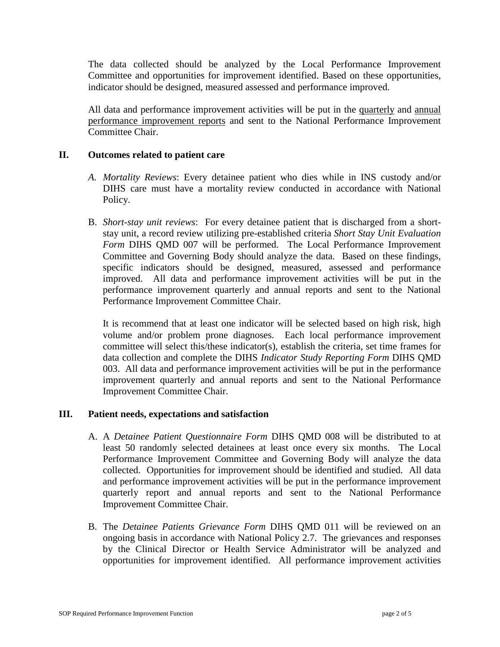The data collected should be analyzed by the Local Performance Improvement Committee and opportunities for improvement identified. Based on these opportunities, indicator should be designed, measured assessed and performance improved.

All data and performance improvement activities will be put in the quarterly and annual performance improvement reports and sent to the National Performance Improvement Committee Chair.

# **II. Outcomes related to patient care**

- *A. Mortality Reviews*: Every detainee patient who dies while in INS custody and/or DIHS care must have a mortality review conducted in accordance with National Policy.
- B. *Short-stay unit reviews*: For every detainee patient that is discharged from a shortstay unit, a record review utilizing pre-established criteria *Short Stay Unit Evaluation Form* DIHS QMD 007 will be performed. The Local Performance Improvement Committee and Governing Body should analyze the data. Based on these findings, specific indicators should be designed, measured, assessed and performance improved. All data and performance improvement activities will be put in the performance improvement quarterly and annual reports and sent to the National Performance Improvement Committee Chair.

It is recommend that at least one indicator will be selected based on high risk, high volume and/or problem prone diagnoses. Each local performance improvement committee will select this/these indicator(s), establish the criteria, set time frames for data collection and complete the DIHS *Indicator Study Reporting Form* DIHS QMD 003. All data and performance improvement activities will be put in the performance improvement quarterly and annual reports and sent to the National Performance Improvement Committee Chair.

#### **III. Patient needs, expectations and satisfaction**

- A. A *Detainee Patient Questionnaire Form* DIHS QMD 008 will be distributed to at least 50 randomly selected detainees at least once every six months. The Local Performance Improvement Committee and Governing Body will analyze the data collected. Opportunities for improvement should be identified and studied. All data and performance improvement activities will be put in the performance improvement quarterly report and annual reports and sent to the National Performance Improvement Committee Chair.
- B. The *Detainee Patients Grievance Form* DIHS QMD 011 will be reviewed on an ongoing basis in accordance with National Policy 2.7. The grievances and responses by the Clinical Director or Health Service Administrator will be analyzed and opportunities for improvement identified. All performance improvement activities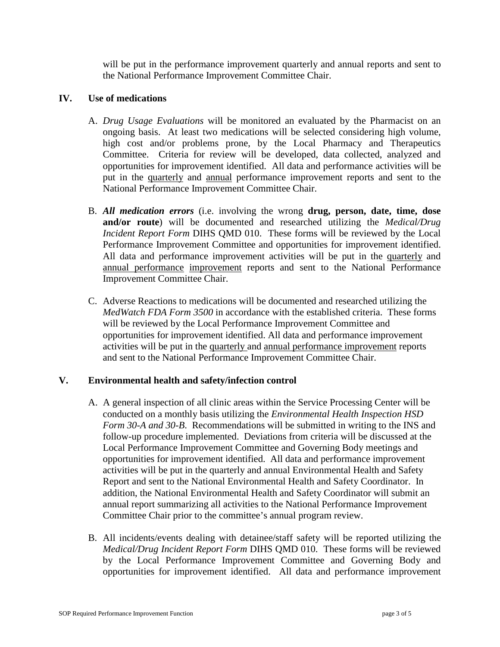will be put in the performance improvement quarterly and annual reports and sent to the National Performance Improvement Committee Chair.

### **IV. Use of medications**

- A. *Drug Usage Evaluations* will be monitored an evaluated by the Pharmacist on an ongoing basis. At least two medications will be selected considering high volume, high cost and/or problems prone, by the Local Pharmacy and Therapeutics Committee. Criteria for review will be developed, data collected, analyzed and opportunities for improvement identified. All data and performance activities will be put in the quarterly and annual performance improvement reports and sent to the National Performance Improvement Committee Chair.
- B. *All medication errors* (i.e. involving the wrong **drug, person, date, time, dose and/or route**) will be documented and researched utilizing the *Medical/Drug Incident Report Form* DIHS QMD 010. These forms will be reviewed by the Local Performance Improvement Committee and opportunities for improvement identified. All data and performance improvement activities will be put in the quarterly and annual performance improvement reports and sent to the National Performance Improvement Committee Chair.
- C. Adverse Reactions to medications will be documented and researched utilizing the *MedWatch FDA Form 3500* in accordance with the established criteria. These forms will be reviewed by the Local Performance Improvement Committee and opportunities for improvement identified. All data and performance improvement activities will be put in the quarterly and annual performance improvement reports and sent to the National Performance Improvement Committee Chair.

#### **V. Environmental health and safety/infection control**

- A. A general inspection of all clinic areas within the Service Processing Center will be conducted on a monthly basis utilizing the *Environmental Health Inspection HSD Form 30-A and 30-B*. Recommendations will be submitted in writing to the INS and follow-up procedure implemented. Deviations from criteria will be discussed at the Local Performance Improvement Committee and Governing Body meetings and opportunities for improvement identified. All data and performance improvement activities will be put in the quarterly and annual Environmental Health and Safety Report and sent to the National Environmental Health and Safety Coordinator. In addition, the National Environmental Health and Safety Coordinator will submit an annual report summarizing all activities to the National Performance Improvement Committee Chair prior to the committee's annual program review.
- B. All incidents/events dealing with detainee/staff safety will be reported utilizing the *Medical/Drug Incident Report Form* DIHS QMD 010. These forms will be reviewed by the Local Performance Improvement Committee and Governing Body and opportunities for improvement identified. All data and performance improvement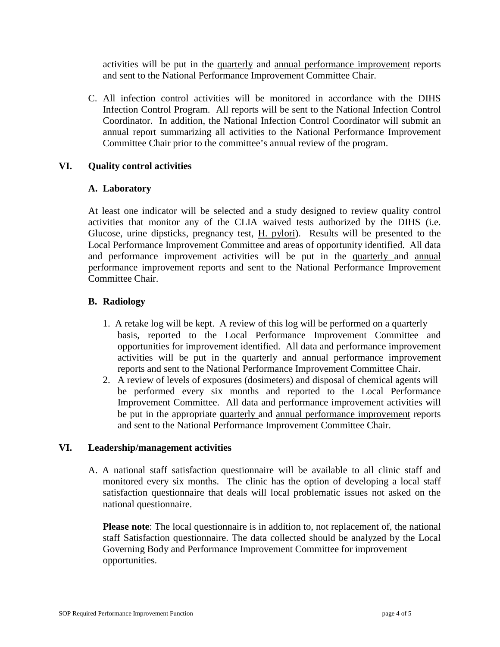activities will be put in the quarterly and annual performance improvement reports and sent to the National Performance Improvement Committee Chair.

C. All infection control activities will be monitored in accordance with the DIHS Infection Control Program. All reports will be sent to the National Infection Control Coordinator. In addition, the National Infection Control Coordinator will submit an annual report summarizing all activities to the National Performance Improvement Committee Chair prior to the committee's annual review of the program.

# **VI. Quality control activities**

# **A. Laboratory**

At least one indicator will be selected and a study designed to review quality control activities that monitor any of the CLIA waived tests authorized by the DIHS (i.e. Glucose, urine dipsticks, pregnancy test, H. pylori). Results will be presented to the Local Performance Improvement Committee and areas of opportunity identified. All data and performance improvement activities will be put in the quarterly and annual performance improvement reports and sent to the National Performance Improvement Committee Chair.

# **B. Radiology**

- 1. A retake log will be kept. A review of this log will be performed on a quarterly basis, reported to the Local Performance Improvement Committee and opportunities for improvement identified. All data and performance improvement activities will be put in the quarterly and annual performance improvement reports and sent to the National Performance Improvement Committee Chair.
- 2. A review of levels of exposures (dosimeters) and disposal of chemical agents will be performed every six months and reported to the Local Performance Improvement Committee. All data and performance improvement activities will be put in the appropriate quarterly and annual performance improvement reports and sent to the National Performance Improvement Committee Chair.

#### **VI. Leadership/management activities**

 A. A national staff satisfaction questionnaire will be available to all clinic staff and monitored every six months. The clinic has the option of developing a local staff satisfaction questionnaire that deals will local problematic issues not asked on the national questionnaire.

**Please note**: The local questionnaire is in addition to, not replacement of, the national staff Satisfaction questionnaire. The data collected should be analyzed by the Local Governing Body and Performance Improvement Committee for improvement opportunities.